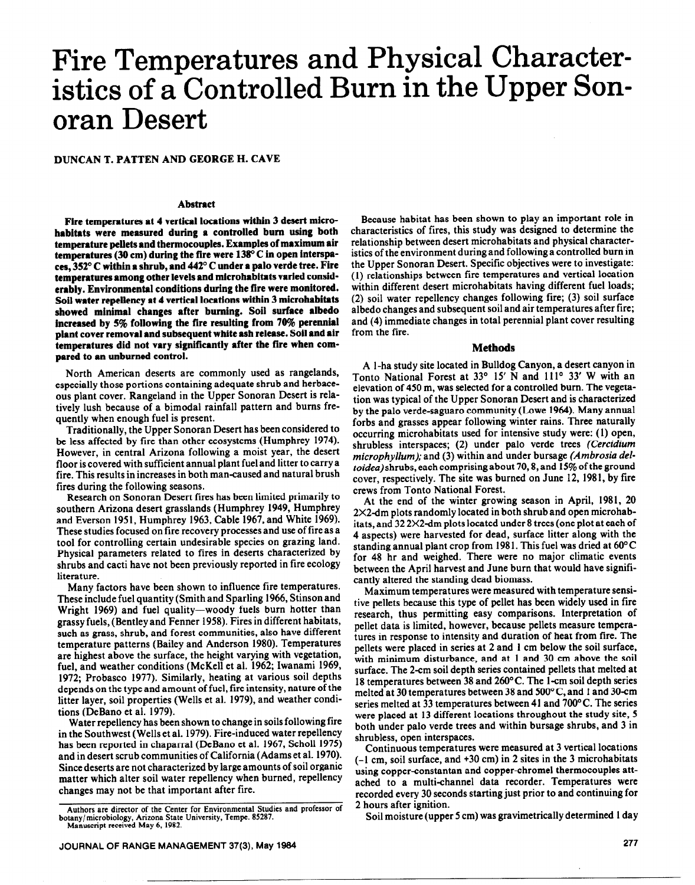# **Fire Temperatures and Physical Characteristics of a Controlled Burn in the Upper Sonoran Desert**

**DUNCAN T. PATTEN** AND GEORGE H. CAVE

### **Abstract**

**Fire temperatures at 4 vertical locations within 3 desert microhabitats were measured during a controlled bum using both temperature pellets and thermocouples. Examples of maximum air**  temperatures (30 cm) during the fire were 138<sup>o</sup> C in open interspaces, 352° C within a shrub, and 442° C under a palo verde tree. Fire **temperatures among other levels and microhabitats varied considerably. Environmental conditions during the fire were monitored. Soil water repellency at 4 vertical locations within 3 microhabitats**  showed minimal changes after burning. Soil surface albedo **increased by 5% following the fire resulting from 70% perennfal plant cover removal and subsequent white ash release. Soil and air temperatures did not vary significantly after the fire when compared to an unburned control.** 

North American deserts are commonly used as rangelands, especially those portions containing adequate shrub and herbaceous plant cover. Rangeland in the Upper Sonoran Desert is relatively lush because of a bimodal rainfall pattern and bums frequently when enough fuel is present.

Traditionally, the Upper Sonoran Desert has been considered to be less affected by fire than other ecosystems (Humphrey 1974). However, in central Arizona following a moist year, the desert floor is covered with sufficient annual plant fuel and litter to carry a fire. This results in increases in both man-caused and natural brush fires during the following seasons.

Research on Sonoran Desert fires has been limited primarily to southern Arizona desert grasslands (Humphrey 1949, Humphrey and Everson 1951, Humphrey 1963, Cable 1967, and White 1969). These studies focused on fire recovery processes and use of fire as a tool for controlling certain undesirable species on grazing land. Physical parameters related to fires in deserts characterized by shrubs and cacti have not been previously reported in fire ecology literature.

Many factors have been shown to influence fire temperatures. These include fuel quantity (Smith and Sparling 1966, Stinson and Wright 1969) and fuel quality-woody fuels burn hotter than grassy fuels, (Bentley and Fenner 1958). Fires in different habitats, such as grass, shrub, and forest communities, also have different temperature patterns (Bailey and Anderson 1980). Temperatures are highest above the surface, the height varying with vegetation, fuel, and weather conditions (McKell et al. 1962; Iwanami 1969, 1972; Probasco 1977). Similarly, heating at various soil depths depends on the type and amount of fuel, fire intensity, nature of the litter layer, soil properties (Wells et al. 1979), and weather conditions (DeBano et al. 1979).

Water repellency has been shown to change in soils following fire in the Southwest (Wells et al. 1979). Fire-induced water repellency has been reported in chaparral (DeBano et al. 1967, Scholl 1975) and in desert scrub communities of California (Adams et al. 1970). Since deserts are not characterized by large amounts of soil organic matter which alter soil water repellency when burned, repellency changes may not be that important after fire.

Because habitat has been shown to play an important role in characteristics of fires, this study was designed to determine the relationship between desert microhabitats and physical characteristics of the environment during and following a controlled burn in the Upper Sonoran Desert. Specific objectives were to investigate: (1) relationships between fire temperatures and vertical location within different desert microhabitats having different fuel loads; (2) soil water repellency changes following fire; (3) soil surface albedo changes and subsequent soil and air temperatures after fire; and (4) immediate changes in total perennial plant cover resulting from the fire.

#### **Methods**

**A** l-ha study site located in Bulldog Canyon, a desert canyon in Tonto National Forest at 33° 15' N and 111° 33' W with an elevation of 450 m, was selected for a controlled bum. The vegetation was typical of the Upper Sonoran Desert and is characterized by the palo Verde-saguaro community (Lowe 1964). Many annual forbs and grasses appear following winter rains. Three naturally occurring microhabitats used for intensive study were: (1) open, shrubless interspaces; (2) under palo Verde trees *(Cercidium microphyllum);* and (3) within and under bursage *(Ambrosia deltoidea)* shrubs, each comprising about 70,8, and 15% of the ground cover, respectively. The site was burned on June 12, 1981, by fire crews from Tonto National Forest.

At the end of the winter growing season in April, 1981, 20 2X2dm plots randomly located in both shrub and open microhabitats, and  $322X2$ -dm plots located under 8 trees (one plot at each of 4 aspects) were harvested for dead, surface litter along with the standing annual plant crop from 198 1. This fuel was dried at 60" C for 48 hr and weighed. There were no major climatic events between the April harvest and June burn that would have significantly altered the standing dead biomass.

Maximum temperatures were measured with temperature sensitive pellets because this type of pellet has been widely used in fire research, thus permitting easy comparisons. Interpretation of pellet data is limited, however, because pellets measure temperatures in response to intensity and duration of heat from fire. The pellets were placed in series at 2 and 1 cm below the soil surface, with minimum disturbance, and at 1 and 30 cm above the soil surface. The 2-cm soil depth series contained pellets that melted at 18 temperatures between 38 and 260°C. The l-cm soil depth series melted at 30 temperatures between 38 and 500°C, and 1 and 30-cm series melted at 33 temperatures between 41 and 700°C. The series were placed at 13 different locations throughout the study site, 5 both under palo Verde trees and within bursage shrubs, and 3 in shrubless, open interspaces.

Continuous temperatures were measured at 3 vertical locations (-1 cm, soil surface, and +30 cm) in 2 sites in the 3 microhabitats using copper-constantan and copper-chromel thermocouples attached to a multi-channel data recorder. Temperatures were recorded every 30 seconds starting just prior to and continuing for 2 hours after ignition.

Soil moisture (upper 5 cm) was gravimetrically determined 1 day

**Authors are director of the Center for Environmental Studies and professor of botany/microbiology, Arizona State University, Tempe. 85287. Manuscript received May 6, 1982.**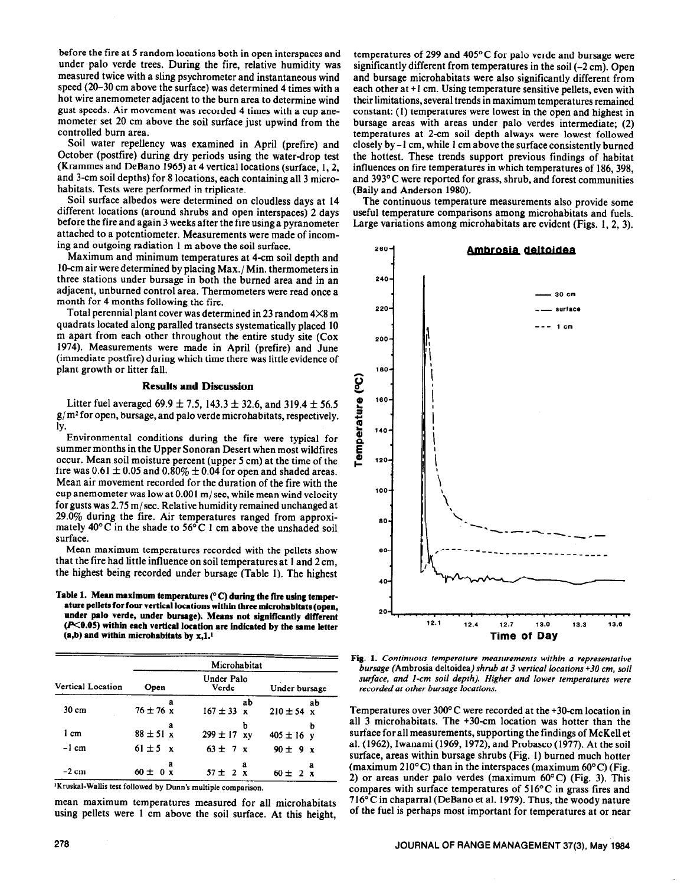before the fire at 5 random locations both in open interspaces and under palo Verde trees. During the fire, relative humidity was measured twice with a sling psychrometer and instantaneous wind speed (20-30 cm above the surface) was determined 4 times with a hot wire anemometer adjacent to the burn area to determine wind gust speeds. Air movement was recorded 4 times with a cup anemometer set 20 cm above the soil surface just upwind from the controlled burn area.

Soil water repellency was examined in April (prefire) and October (postfire) during dry periods using the water-drop test (Krammes and DeBano 1965) at 4 vertical locations (surface, 1,2, and 3-cm soil depths) for 8 locations, each containing all 3 microhabitats. Tests were performed in triplicate.

Soil surface albedos were determined on cloudless days at 14 different locations (around shrubs and open interspaces) 2 days before the fire and again 3 weeks after the fire using a pyranometer attached to a potentiometer. Measurements were made of incoming and outgoing radiation 1 m above the soil surface.

Maximum and minimum temperatures at 4-cm soil depth and IO-cm air were determined by placing Max./ Min. thermometers in three stations under bursage in both the burned area and in an adjacent, unburned control area. Thermometers were read once a month for 4 months following the fire.

Total perennial plant cover was determined in 23 random 4X8 m quadrats located along paralled transects systematically placed 10 m apart from each other throughout the entire study site (Cox 1974). Measurements were made in April (prefire) and June (immediate postfire) during which time there was little evidence of plant growth or litter fall.

#### **Results and Discussion**

Litter fuel averaged 69.9  $\pm$  7.5, 143.3  $\pm$  32.6, and 319.4  $\pm$  56.5 **g/m2 for** open, bursage, and palo Verde microhabitats, respectively. 1Y.

Environmental conditions during the fire were typical for summer months in the Upper Sonoran Desert when most wildfires occur. Mean soil moisture percent (upper 5 cm) at the time of the fire was  $0.61 \pm 0.05$  and  $0.80\% \pm 0.04$  for open and shaded areas. Mean air movement recorded for the duration of the fire with the cup anemometer was low at  $0.001$  m/sec, while mean wind velocity for gusts was  $2.75 \text{ m/sec}$ . Relative humidity remained unchanged at 29.0% during the fire. Air temperatures ranged from approximately  $40^{\circ}$ C in the shade to  $56^{\circ}$ C 1 cm above the unshaded soil surface.

Mean maximum temperatures recorded with the pellets show that the fire had little influence on soil temperatures at 1 and 2 cm, the highest being recorded under bursage (Table 1). The highest

**Table 1. Mean maximum temperatures (" C) during the fire using temperature pellets for four vertical locations within three microhabitats (open, under palo Verde, under bursage). Means not significantly different (KO.05) within each vertical location are indicated by the same letter (a,b) and within microhabitats by x,1.1** 

|                   | Microhabitat       |                                    |                      |  |  |
|-------------------|--------------------|------------------------------------|----------------------|--|--|
| Vertical Location | Open               | Under Palo<br>Verde                | Under bursage        |  |  |
| $30 \text{ cm}$   | a<br>$76 \pm 76 x$ | ab<br>$167 \pm 33$<br>$\mathbf{x}$ | ab<br>$210 \pm 54$ x |  |  |
| 1 cm              | а<br>$88 \pm 51$ x | b<br>$299 \pm 17$ xy               | b<br>$405 \pm 16$ y  |  |  |
| $-1$ cm           | $61 \pm 5 \times$  | $63 \pm 7 \times$                  | $90 \pm 9 x$         |  |  |
| $-2$ cm           | а<br>$60 \pm 0 x$  | a<br>$57 \pm 2 x$                  | a<br>$60 \pm 2 x$    |  |  |

**'Kruskal-Wallis test** followed by Dunn's multiple comparison.

mean maximum temperatures measured for all microhabitats using pellets were 1 cm above the soil surface. **At** this height,

The continuous temperature measurements also provide some useful temperature comparisons among microhabitats and fuels. Large variations among microhabitats are evident (Figs. 1, 2, 3).



**Fig. 1.** *Continuous temperafure measurements within a representative bursage* **(Ambrosia deltoidea)** *shrub at 3 vertical locations +30 cm, soil surface, and I-cm soil depth). Higher and lower temperatures were recorded at other bursage locations.* 

Temperatures over 3OO'C were recorded at the +30-cm location in all 3 microhabitats. The +30-cm location was hotter than the surface for all measurements, supporting the findings of McKell et al. (1962), Iwanami (1969, 1972), and Probasco (1977). At the soil surface, areas within bursage shrubs (Fig. 1) burned much hotter (maximum 210 $\textdegree$ C) than in the interspaces (maximum 60 $\textdegree$ C) (Fig. 2) or areas under palo verdes (maximum  $60^{\circ}$ C) (Fig. 3). This compares with surface temperatures of  $516^{\circ}$ C in grass fires and  $716^{\circ}$ C in chaparral (DeBano et al. 1979). Thus, the woody nature of the fuel is perhaps most important for temperatures at or near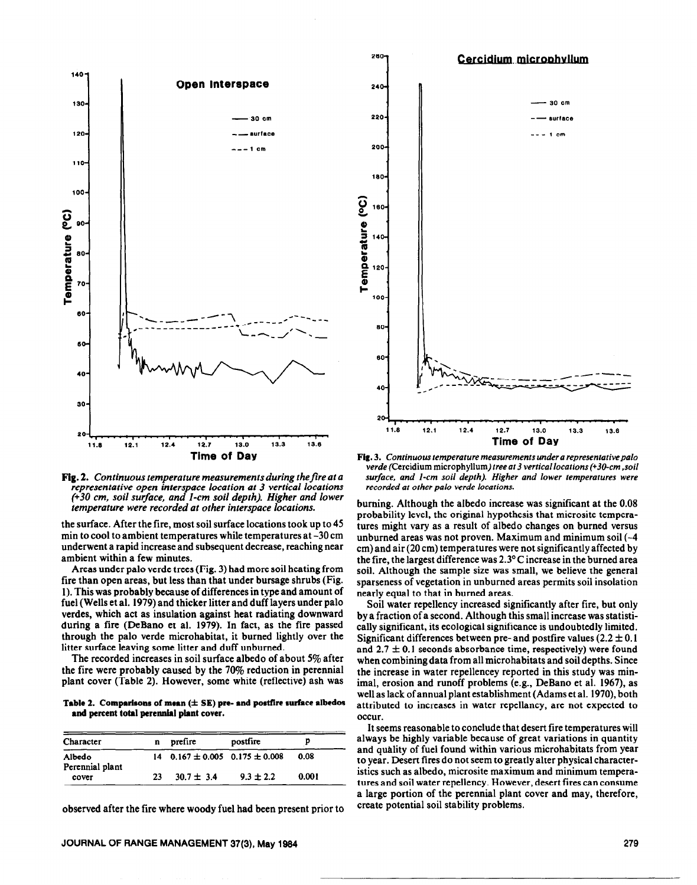

Fig. 2. Continuous temperature measurements during the fire at a representative open interspace location at 3 vertical locations (+30 cm, soil surface, and 1-cm soil depth). Higher and lower temperature were recorded at other interspace locations.

the surface. After the fire, most soil surface locations took up to 45 min to cool to ambient temperatures while temperatures at -30 cm underwent a rapid increase and subsequent decrease, reaching near ambient within a few minutes.

Areas under palo verde trees (Fig. 3) had more soil heating from fire than open areas, but less than that under bursage shrubs (Fig. 1). This was probably because of differences in type and amount of fuel (Wells et al. 1979) and thicker litter and duff layers under palo verdes, which act as insulation against heat radiating downward during a fire (DeBano et al. 1979). In fact, as the fire passed through the palo verde microhabitat, it burned lightly over the litter surface leaving some litter and duff unburned.

The recorded increases in soil surface albedo of about  $5\%$  after the fire were probably caused by the 70% reduction in perennial plant cover (Table 2). However, some white (reflective) ash was

Table 2. Comparisons of mean  $(\pm$  SE) pre- and postfire surface albedos and percent total perennial plant cover.

| Character                 | n  | prefire                                  | postfire      |       |
|---------------------------|----|------------------------------------------|---------------|-------|
| Albedo<br>Perennial plant |    | $14$ 0.167 $\pm$ 0.005 0.175 $\pm$ 0.008 |               | 0.08  |
| cover                     | 23 | $30.7 \pm 3.4$                           | $9.3 \pm 2.2$ | 0.001 |

observed after the fire where woody fuel had been present prior to



280

Fig. 3. Continuous temperature measurements under a representative palo verde (Cercidium microphyllum) tree at 3 vertical locations (+30-cm, soil surface, and 1-cm soil depth). Higher and lower temperatures were recorded at other palo verde locations.

burning. Although the albedo increase was significant at the 0.08 probability level, the original hypothesis that microsite temperatures might vary as a result of albedo changes on burned versus unburned areas was not proven. Maximum and minimum soil  $(-4)$ cm) and air (20 cm) temperatures were not significantly affected by the fire, the largest difference was  $2.3^{\circ}$ C increase in the burned area soil. Although the sample size was small, we believe the general sparseness of vegetation in unburned areas permits soil insolation nearly equal to that in burned areas.

Soil water repellency increased significantly after fire, but only by a fraction of a second. Although this small increase was statistically significant, its ecological significance is undoubtedly limited. Significant differences between pre- and postfire values  $(2.2 \pm 0.1)$ and  $2.7 \pm 0.1$  seconds absorbance time, respectively) were found when combining data from all microhabitats and soil depths. Since the increase in water repellencey reported in this study was minimal, erosion and runoff problems (e.g., DeBano et al. 1967), as well as lack of annual plant establishment (Adams et al. 1970), both attributed to increases in water repellancy, are not expected to occur.

It seems reasonable to conclude that desert fire temperatures will always be highly variable because of great variations in quantity and quality of fuel found within various microhabitats from year to year. Desert fires do not seem to greatly alter physical characteristics such as albedo, microsite maximum and minimum temperatures and soil water repellency. However, desert fires can consume a large portion of the perennial plant cover and may, therefore, create potential soil stability problems.